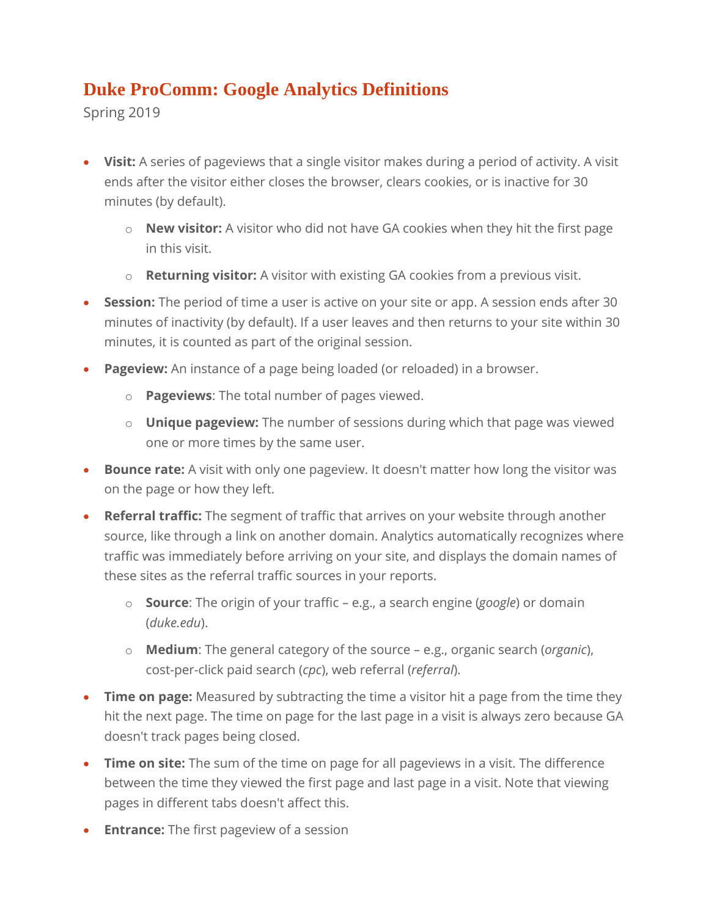## **Duke ProComm: Google Analytics Definitions**

Spring 2019

- **Visit:** A series of pageviews that a single visitor makes during a period of activity. A visit ends after the visitor either closes the browser, clears cookies, or is inactive for 30 minutes (by default).
	- o **New visitor:** A visitor who did not have GA cookies when they hit the first page in this visit.
	- o **Returning visitor:** A visitor with existing GA cookies from a previous visit.
- **Session:** The period of time a user is active on your site or app. A session ends after 30 minutes of inactivity (by default). If a user leaves and then returns to your site within 30 minutes, it is counted as part of the original session.
- **Pageview:** An instance of a page being loaded (or reloaded) in a browser.
	- o **Pageviews**: The total number of pages viewed.
	- o **Unique pageview:** The number of sessions during which that page was viewed one or more times by the same user.
- **Bounce rate:** A visit with only one pageview. It doesn't matter how long the visitor was on the page or how they left.
- **Referral traffic:** The segment of traffic that arrives on your website through another source, like through a link on another domain. Analytics automatically recognizes where traffic was immediately before arriving on your site, and displays the domain names of these sites as the referral traffic sources in your reports.
	- o **Source**: The origin of your traffic e.g., a search engine (*google*) or domain (*duke.edu*).
	- o **Medium**: The general category of the source e.g., organic search (*organic*), cost-per-click paid search (*cpc*), web referral (*referral*).
- **Time on page:** Measured by subtracting the time a visitor hit a page from the time they hit the next page. The time on page for the last page in a visit is always zero because GA doesn't track pages being closed.
- **Time on site:** The sum of the time on page for all pageviews in a visit. The difference between the time they viewed the first page and last page in a visit. Note that viewing pages in different tabs doesn't affect this.
- **Entrance:** The first pageview of a session